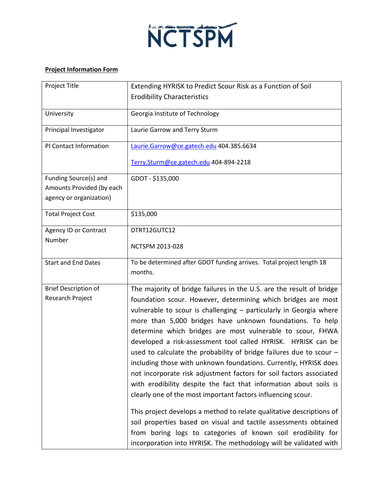

## **Project Information Form**

| Project Title                                                                 | Extending HYRISK to Predict Scour Risk as a Function of Soil                                                                                                                                                                                                                                                                                                                                                                                                                                                                                                                                                                                                                                                                                                                                                                                                                                                                                                                                                                                      |
|-------------------------------------------------------------------------------|---------------------------------------------------------------------------------------------------------------------------------------------------------------------------------------------------------------------------------------------------------------------------------------------------------------------------------------------------------------------------------------------------------------------------------------------------------------------------------------------------------------------------------------------------------------------------------------------------------------------------------------------------------------------------------------------------------------------------------------------------------------------------------------------------------------------------------------------------------------------------------------------------------------------------------------------------------------------------------------------------------------------------------------------------|
|                                                                               | <b>Erodibility Characteristics</b>                                                                                                                                                                                                                                                                                                                                                                                                                                                                                                                                                                                                                                                                                                                                                                                                                                                                                                                                                                                                                |
| University                                                                    | Georgia Institute of Technology                                                                                                                                                                                                                                                                                                                                                                                                                                                                                                                                                                                                                                                                                                                                                                                                                                                                                                                                                                                                                   |
| Principal Investigator                                                        | Laurie Garrow and Terry Sturm                                                                                                                                                                                                                                                                                                                                                                                                                                                                                                                                                                                                                                                                                                                                                                                                                                                                                                                                                                                                                     |
| PI Contact Information                                                        | Laurie.Garrow@ce.gatech.edu 404.385.6634                                                                                                                                                                                                                                                                                                                                                                                                                                                                                                                                                                                                                                                                                                                                                                                                                                                                                                                                                                                                          |
|                                                                               | Terry.Sturm@ce.gatech.edu 404-894-2218                                                                                                                                                                                                                                                                                                                                                                                                                                                                                                                                                                                                                                                                                                                                                                                                                                                                                                                                                                                                            |
| Funding Source(s) and<br>Amounts Provided (by each<br>agency or organization) | GDOT - \$135,000                                                                                                                                                                                                                                                                                                                                                                                                                                                                                                                                                                                                                                                                                                                                                                                                                                                                                                                                                                                                                                  |
| <b>Total Project Cost</b>                                                     | \$135,000                                                                                                                                                                                                                                                                                                                                                                                                                                                                                                                                                                                                                                                                                                                                                                                                                                                                                                                                                                                                                                         |
| Agency ID or Contract<br>Number                                               | DTRT12GUTC12                                                                                                                                                                                                                                                                                                                                                                                                                                                                                                                                                                                                                                                                                                                                                                                                                                                                                                                                                                                                                                      |
|                                                                               | NCTSPM 2013-028                                                                                                                                                                                                                                                                                                                                                                                                                                                                                                                                                                                                                                                                                                                                                                                                                                                                                                                                                                                                                                   |
| <b>Start and End Dates</b>                                                    | To be determined after GDOT funding arrives. Total project length 18<br>months.                                                                                                                                                                                                                                                                                                                                                                                                                                                                                                                                                                                                                                                                                                                                                                                                                                                                                                                                                                   |
| <b>Brief Description of</b><br>Research Project                               | The majority of bridge failures in the U.S. are the result of bridge<br>foundation scour. However, determining which bridges are most<br>vulnerable to scour is challenging - particularly in Georgia where<br>more than 5,000 bridges have unknown foundations. To help<br>determine which bridges are most vulnerable to scour, FHWA<br>developed a risk-assessment tool called HYRISK. HYRISK can be<br>used to calculate the probability of bridge failures due to scour $-$<br>including those with unknown foundations. Currently, HYRISK does<br>not incorporate risk adjustment factors for soil factors associated<br>with erodibility despite the fact that information about soils is<br>clearly one of the most important factors influencing scour.<br>This project develops a method to relate qualitative descriptions of<br>soil properties based on visual and tactile assessments obtained<br>from boring logs to categories of known soil erodibility for<br>incorporation into HYRISK. The methodology will be validated with |